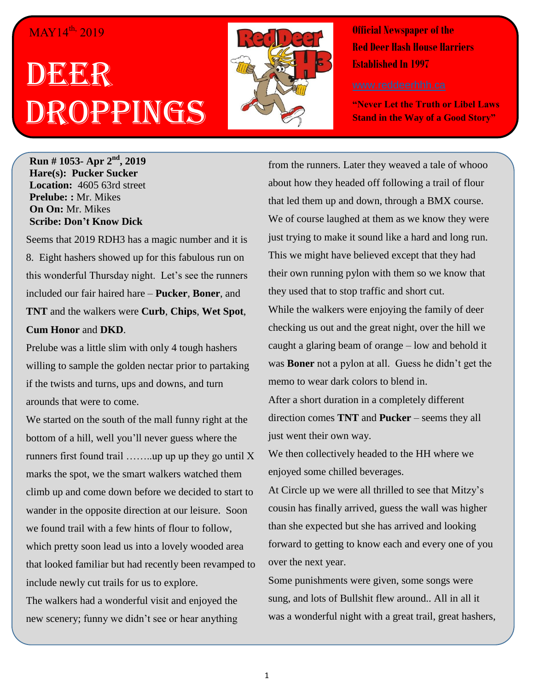## MAY14<sup>th,</sup> 2019

## DEER Droppings



**Official Newspaper of the Red Deer Hash House Harriers Established In 1997** 

**"Never Let the Truth or Libel Laws Stand in the Way of a Good Story"**

**Run # 1053- Apr 2<sup>nd</sup>, 2019 Hare(s): Pucker Sucker Location:** 4605 63rd street **Prelube: :** Mr. Mikes **On On:** Mr. Mikes **Scribe: Don't Know Dick**

Seems that 2019 RDH3 has a magic number and it is 8. Eight hashers showed up for this fabulous run on this wonderful Thursday night. Let's see the runners included our fair haired hare – **Pucker**, **Boner**, and **TNT** and the walkers were **Curb**, **Chips**, **Wet Spot**, **Cum Honor** and **DKD**.

Prelube was a little slim with only 4 tough hashers willing to sample the golden nectar prior to partaking if the twists and turns, ups and downs, and turn arounds that were to come.

We started on the south of the mall funny right at the bottom of a hill, well you'll never guess where the runners first found trail  $\dots \dots$  up up up they go until X marks the spot, we the smart walkers watched them climb up and come down before we decided to start to wander in the opposite direction at our leisure. Soon we found trail with a few hints of flour to follow, which pretty soon lead us into a lovely wooded area that looked familiar but had recently been revamped to include newly cut trails for us to explore.

The walkers had a wonderful visit and enjoyed the new scenery; funny we didn't see or hear anything

from the runners. Later they weaved a tale of whooo about how they headed off following a trail of flour that led them up and down, through a BMX course. We of course laughed at them as we know they were just trying to make it sound like a hard and long run. This we might have believed except that they had their own running pylon with them so we know that they used that to stop traffic and short cut.

While the walkers were enjoying the family of deer checking us out and the great night, over the hill we caught a glaring beam of orange – low and behold it was **Boner** not a pylon at all. Guess he didn't get the memo to wear dark colors to blend in.

After a short duration in a completely different direction comes **TNT** and **Pucker** – seems they all just went their own way.

We then collectively headed to the HH where we enjoyed some chilled beverages.

At Circle up we were all thrilled to see that Mitzy's cousin has finally arrived, guess the wall was higher than she expected but she has arrived and looking forward to getting to know each and every one of you over the next year.

Some punishments were given, some songs were sung, and lots of Bullshit flew around.. All in all it was a wonderful night with a great trail, great hashers,